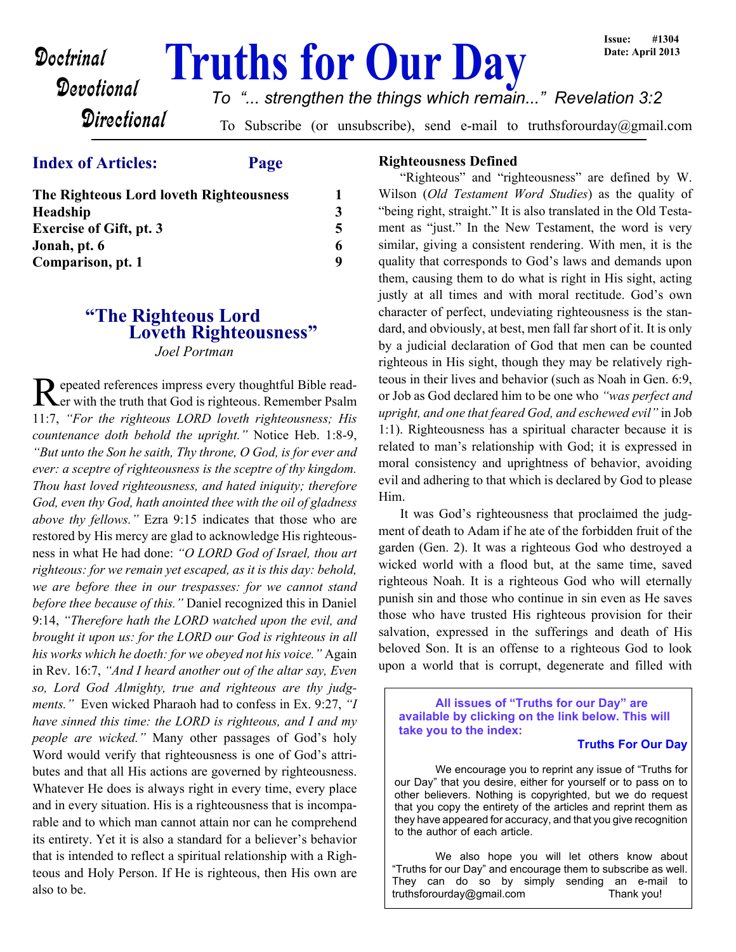# **Doctrinal Truths for Our Day**

# *To "... strengthen the things which remain..." Revelation 3:2*

**Directional** 

To Subscribe (or unsubscribe), send e-mail to truthsforourday@gmail.com

# **Index of Articles: Page**

Devotional

| <b>The Righteous Lord loveth Righteousness</b>                                         |             |
|----------------------------------------------------------------------------------------|-------------|
| <b>Headship</b><br><b>Exercise of Gift, pt. 3</b><br>Jonah, pt. 6<br>Comparison, pt. 1 | 3<br>6<br>Q |

# **"The Righteous Lord Loveth Righteousness"** *Joel Portman*

Repeated references impress every thoughtful Bible read-<br>
Ler with the truth that God is righteous. Remember Psalm er with the truth that God is righteous. Remember Psalm 11:7, *"For the righteous LORD loveth righteousness; His countenance doth behold the upright."* Notice Heb. 1:8-9, *"But unto the Son he saith, Thy throne, O God, is for ever and ever: a sceptre of righteousness is the sceptre of thy kingdom. Thou hast loved righteousness, and hated iniquity; therefore God, even thy God, hath anointed thee with the oil of gladness above thy fellows."* Ezra 9:15 indicates that those who are restored by His mercy are glad to acknowledge His righteousness in what He had done: *"O LORD God of Israel, thou art righteous: for we remain yet escaped, as it is this day: behold, we are before thee in our trespasses: for we cannot stand before thee because of this."* Daniel recognized this in Daniel 9:14, *"Therefore hath the LORD watched upon the evil, and brought it upon us: for the LORD our God is righteous in all his works which he doeth: for we obeyed not his voice."* Again in Rev. 16:7, *"And I heard another out of the altar say, Even so, Lord God Almighty, true and righteous are thy judgments."* Even wicked Pharaoh had to confess in Ex. 9:27, *"I have sinned this time: the LORD is righteous, and I and my people are wicked."* Many other passages of God's holy Word would verify that righteousness is one of God's attributes and that all His actions are governed by righteousness. Whatever He does is always right in every time, every place and in every situation. His is a righteousness that is incomparable and to which man cannot attain nor can he comprehend its entirety. Yet it is also a standard for a believer's behavior that is intended to reflect a spiritual relationship with a Righteous and Holy Person. If He is righteous, then His own are also to be.

### **Righteousness Defined**

"Righteous" and "righteousness" are defined by W. Wilson (*Old Testament Word Studies*) as the quality of "being right, straight." It is also translated in the Old Testament as "just." In the New Testament, the word is very similar, giving a consistent rendering. With men, it is the quality that corresponds to God's laws and demands upon them, causing them to do what is right in His sight, acting justly at all times and with moral rectitude. God's own character of perfect, undeviating righteousness is the standard, and obviously, at best, men fall far short of it. It is only by a judicial declaration of God that men can be counted righteous in His sight, though they may be relatively righteous in their lives and behavior (such as Noah in Gen. 6:9, or Job as God declared him to be one who *"was perfect and upright, and one that feared God, and eschewed evil"* in Job 1:1). Righteousness has a spiritual character because it is related to man's relationship with God; it is expressed in moral consistency and uprightness of behavior, avoiding evil and adhering to that which is declared by God to please Him.

It was God's righteousness that proclaimed the judgment of death to Adam if he ate of the forbidden fruit of the garden (Gen. 2). It was a righteous God who destroyed a wicked world with a flood but, at the same time, saved righteous Noah. It is a righteous God who will eternally punish sin and those who continue in sin even as He saves those who have trusted His righteous provision for their salvation, expressed in the sufferings and death of His beloved Son. It is an offense to a righteous God to look upon a world that is corrupt, degenerate and filled with

**All issues of "Truths for our Day" are available by clicking on the link below. This will take you to the index:**

#### **Truths For Our Day**

 We encourage you to reprint any issue of "Truths for our Day" that you desire, either for yourself or to pass on to other believers. Nothing is copyrighted, but we do request that you copy the entirety of the articles and reprint them as they have appeared for accuracy, and that you give recognition to the author of each article.

 We also hope you will let others know about "Truths for our Day" and encourage them to subscribe as well. They can do so by simply sending an e-mail to truthsforourday@gmail.com Thank you!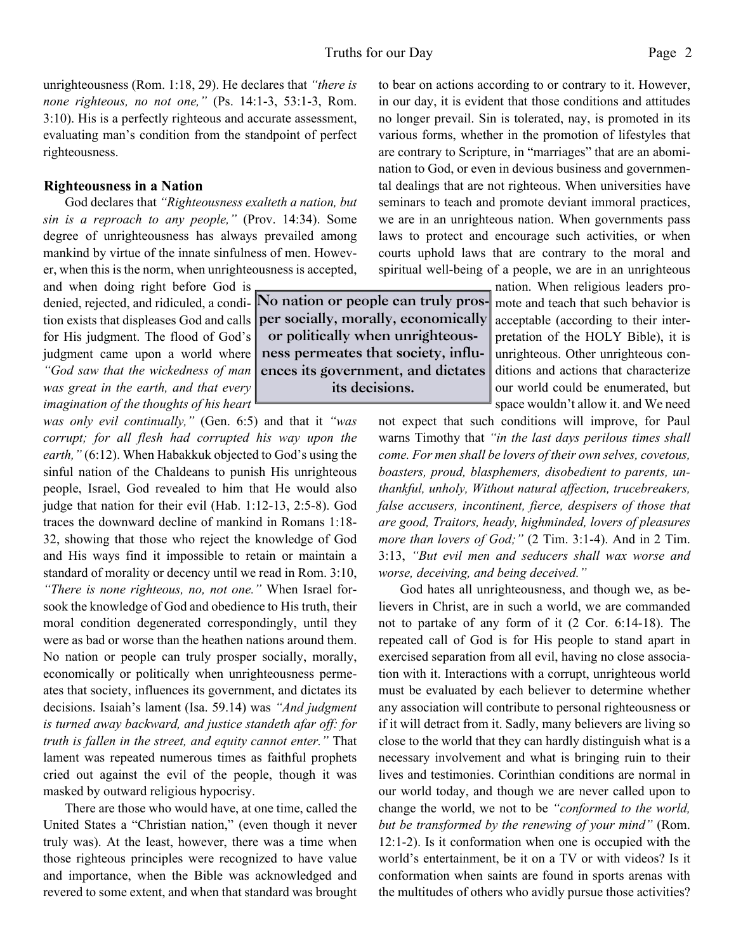unrighteousness (Rom. 1:18, 29). He declares that *"there is none righteous, no not one,"* (Ps. 14:1-3, 53:1-3, Rom. 3:10). His is a perfectly righteous and accurate assessment, evaluating man's condition from the standpoint of perfect righteousness.

#### **Righteousness in a Nation**

God declares that *"Righteousness exalteth a nation, but sin is a reproach to any people,"* (Prov. 14:34). Some degree of unrighteousness has always prevailed among mankind by virtue of the innate sinfulness of men. However, when this is the norm, when unrighteousness is accepted,

and when doing right before God is for His judgment. The flood of God's judgment came upon a world where *"God saw that the wickedness of man was great in the earth, and that every imagination of the thoughts of his heart*

*was only evil continually,"* (Gen. 6:5) and that it *"was corrupt; for all flesh had corrupted his way upon the earth,"* (6:12). When Habakkuk objected to God's using the sinful nation of the Chaldeans to punish His unrighteous people, Israel, God revealed to him that He would also judge that nation for their evil (Hab. 1:12-13, 2:5-8). God traces the downward decline of mankind in Romans 1:18- 32, showing that those who reject the knowledge of God and His ways find it impossible to retain or maintain a standard of morality or decency until we read in Rom. 3:10, *"There is none righteous, no, not one."* When Israel forsook the knowledge of God and obedience to His truth, their moral condition degenerated correspondingly, until they were as bad or worse than the heathen nations around them. No nation or people can truly prosper socially, morally, economically or politically when unrighteousness permeates that society, influences its government, and dictates its decisions. Isaiah's lament (Isa. 59.14) was *"And judgment is turned away backward, and justice standeth afar off: for truth is fallen in the street, and equity cannot enter."* That lament was repeated numerous times as faithful prophets cried out against the evil of the people, though it was masked by outward religious hypocrisy.

There are those who would have, at one time, called the United States a "Christian nation," (even though it never truly was). At the least, however, there was a time when those righteous principles were recognized to have value and importance, when the Bible was acknowledged and revered to some extent, and when that standard was brought to bear on actions according to or contrary to it. However, in our day, it is evident that those conditions and attitudes no longer prevail. Sin is tolerated, nay, is promoted in its various forms, whether in the promotion of lifestyles that are contrary to Scripture, in "marriages" that are an abomination to God, or even in devious business and governmental dealings that are not righteous. When universities have seminars to teach and promote deviant immoral practices, we are in an unrighteous nation. When governments pass laws to protect and encourage such activities, or when courts uphold laws that are contrary to the moral and spiritual well-being of a people, we are in an unrighteous

> nation. When religious leaders promote and teach that such behavior is acceptable (according to their interpretation of the HOLY Bible), it is unrighteous. Other unrighteous conditions and actions that characterize our world could be enumerated, but space wouldn't allow it. and We need

not expect that such conditions will improve, for Paul warns Timothy that *"in the last days perilous times shall come. For men shall be lovers of their own selves, covetous, boasters, proud, blasphemers, disobedient to parents, unthankful, unholy, Without natural affection, trucebreakers, false accusers, incontinent, fierce, despisers of those that are good, Traitors, heady, highminded, lovers of pleasures more than lovers of God;"* (2 Tim. 3:1-4). And in 2 Tim. 3:13, *"But evil men and seducers shall wax worse and worse, deceiving, and being deceived."*

God hates all unrighteousness, and though we, as believers in Christ, are in such a world, we are commanded not to partake of any form of it (2 Cor. 6:14-18). The repeated call of God is for His people to stand apart in exercised separation from all evil, having no close association with it. Interactions with a corrupt, unrighteous world must be evaluated by each believer to determine whether any association will contribute to personal righteousness or if it will detract from it. Sadly, many believers are living so close to the world that they can hardly distinguish what is a necessary involvement and what is bringing ruin to their lives and testimonies. Corinthian conditions are normal in our world today, and though we are never called upon to change the world, we not to be *"conformed to the world, but be transformed by the renewing of your mind"* (Rom. 12:1-2). Is it conformation when one is occupied with the world's entertainment, be it on a TV or with videos? Is it conformation when saints are found in sports arenas with the multitudes of others who avidly pursue those activities?

denied, rejected, and ridiculed, a condi-**No nation or people can truly pros**tion exists that displeases God and calls **per socially, morally, economically or politically when unrighteousness permeates that society, influences its government, and dictates its decisions.**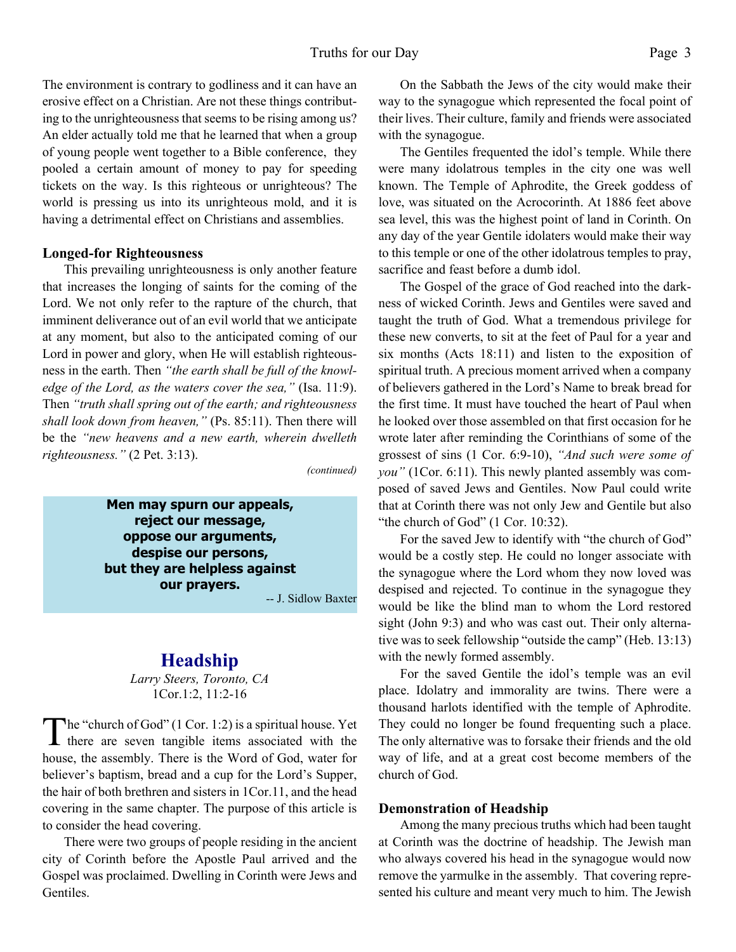The environment is contrary to godliness and it can have an erosive effect on a Christian. Are not these things contributing to the unrighteousness that seems to be rising among us? An elder actually told me that he learned that when a group of young people went together to a Bible conference, they pooled a certain amount of money to pay for speeding tickets on the way. Is this righteous or unrighteous? The world is pressing us into its unrighteous mold, and it is having a detrimental effect on Christians and assemblies.

#### **Longed-for Righteousness**

This prevailing unrighteousness is only another feature that increases the longing of saints for the coming of the Lord. We not only refer to the rapture of the church, that imminent deliverance out of an evil world that we anticipate at any moment, but also to the anticipated coming of our Lord in power and glory, when He will establish righteousness in the earth. Then *"the earth shall be full of the knowledge of the Lord, as the waters cover the sea,"* (Isa. 11:9). Then *"truth shall spring out of the earth; and righteousness shall look down from heaven,"* (Ps. 85:11). Then there will be the *"new heavens and a new earth, wherein dwelleth righteousness."* (2 Pet. 3:13).

*(continued)*

**Men may spurn our appeals, reject our message, oppose our arguments, despise our persons, but they are helpless against our prayers.**

-- J. Sidlow Baxter

# **Headship**

*Larry Steers, Toronto, CA* 1Cor.1:2, 11:2-16

The "church of God" (1 Cor. 1:2) is a spiritual house. Yet<br>there are seven tangible items associated with the he "church of God" (1 Cor. 1:2) is a spiritual house. Yet house, the assembly. There is the Word of God, water for believer's baptism, bread and a cup for the Lord's Supper, the hair of both brethren and sisters in 1Cor.11, and the head covering in the same chapter. The purpose of this article is to consider the head covering.

 There were two groups of people residing in the ancient city of Corinth before the Apostle Paul arrived and the Gospel was proclaimed. Dwelling in Corinth were Jews and Gentiles.

 On the Sabbath the Jews of the city would make their way to the synagogue which represented the focal point of their lives. Their culture, family and friends were associated with the synagogue.

 The Gentiles frequented the idol's temple. While there were many idolatrous temples in the city one was well known. The Temple of Aphrodite, the Greek goddess of love, was situated on the Acrocorinth. At 1886 feet above sea level, this was the highest point of land in Corinth. On any day of the year Gentile idolaters would make their way to this temple or one of the other idolatrous temples to pray, sacrifice and feast before a dumb idol.

 The Gospel of the grace of God reached into the darkness of wicked Corinth. Jews and Gentiles were saved and taught the truth of God. What a tremendous privilege for these new converts, to sit at the feet of Paul for a year and six months (Acts 18:11) and listen to the exposition of spiritual truth. A precious moment arrived when a company of believers gathered in the Lord's Name to break bread for the first time. It must have touched the heart of Paul when he looked over those assembled on that first occasion for he wrote later after reminding the Corinthians of some of the grossest of sins (1 Cor. 6:9-10), *"And such were some of you"* (1Cor. 6:11). This newly planted assembly was composed of saved Jews and Gentiles. Now Paul could write that at Corinth there was not only Jew and Gentile but also "the church of God" (1 Cor. 10:32).

 For the saved Jew to identify with "the church of God" would be a costly step. He could no longer associate with the synagogue where the Lord whom they now loved was despised and rejected. To continue in the synagogue they would be like the blind man to whom the Lord restored sight (John 9:3) and who was cast out. Their only alternative was to seek fellowship "outside the camp" (Heb. 13:13) with the newly formed assembly.

 For the saved Gentile the idol's temple was an evil place. Idolatry and immorality are twins. There were a thousand harlots identified with the temple of Aphrodite. They could no longer be found frequenting such a place. The only alternative was to forsake their friends and the old way of life, and at a great cost become members of the church of God.

#### **Demonstration of Headship**

 Among the many precious truths which had been taught at Corinth was the doctrine of headship. The Jewish man who always covered his head in the synagogue would now remove the yarmulke in the assembly. That covering represented his culture and meant very much to him. The Jewish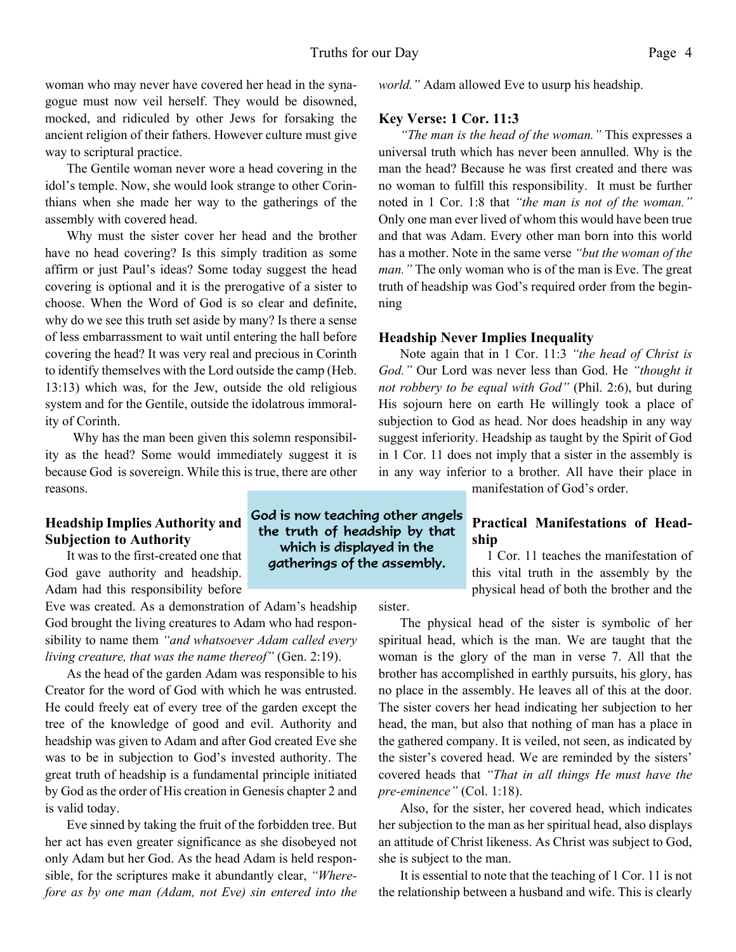woman who may never have covered her head in the synagogue must now veil herself. They would be disowned, mocked, and ridiculed by other Jews for forsaking the ancient religion of their fathers. However culture must give way to scriptural practice.

 The Gentile woman never wore a head covering in the idol's temple. Now, she would look strange to other Corinthians when she made her way to the gatherings of the assembly with covered head.

 Why must the sister cover her head and the brother have no head covering? Is this simply tradition as some affirm or just Paul's ideas? Some today suggest the head covering is optional and it is the prerogative of a sister to choose. When the Word of God is so clear and definite, why do we see this truth set aside by many? Is there a sense of less embarrassment to wait until entering the hall before covering the head? It was very real and precious in Corinth to identify themselves with the Lord outside the camp (Heb. 13:13) which was, for the Jew, outside the old religious system and for the Gentile, outside the idolatrous immorality of Corinth.

Why has the man been given this solemn responsibility as the head? Some would immediately suggest it is because God is sovereign. While this is true, there are other reasons.

# **Headship Implies Authority and Subjection to Authority**

 It was to the first-created one that God gave authority and headship. Adam had this responsibility before

Eve was created. As a demonstration of Adam's headship God brought the living creatures to Adam who had responsibility to name them *"and whatsoever Adam called every living creature, that was the name thereof"* (Gen. 2:19).

As the head of the garden Adam was responsible to his Creator for the word of God with which he was entrusted. He could freely eat of every tree of the garden except the tree of the knowledge of good and evil. Authority and headship was given to Adam and after God created Eve she was to be in subjection to God's invested authority. The great truth of headship is a fundamental principle initiated by God as the order of His creation in Genesis chapter 2 and is valid today.

 Eve sinned by taking the fruit of the forbidden tree. But her act has even greater significance as she disobeyed not only Adam but her God. As the head Adam is held responsible, for the scriptures make it abundantly clear, *"Wherefore as by one man (Adam, not Eve) sin entered into the*

*world."* Adam allowed Eve to usurp his headship.

#### **Key Verse: 1 Cor. 11:3**

*"The man is the head of the woman."* This expresses a universal truth which has never been annulled. Why is the man the head? Because he was first created and there was no woman to fulfill this responsibility. It must be further noted in 1 Cor. 1:8 that *"the man is not of the woman."* Only one man ever lived of whom this would have been true and that was Adam. Every other man born into this world has a mother. Note in the same verse *"but the woman of the man."* The only woman who is of the man is Eve. The great truth of headship was God's required order from the beginning

#### **Headship Never Implies Inequality**

 Note again that in 1 Cor. 11:3 *"the head of Christ is God."* Our Lord was never less than God. He *"thought it not robbery to be equal with God"* (Phil. 2:6), but during His sojourn here on earth He willingly took a place of subjection to God as head. Nor does headship in any way suggest inferiority. Headship as taught by the Spirit of God in 1 Cor. 11 does not imply that a sister in the assembly is in any way inferior to a brother. All have their place in

manifestation of God's order.

## **Practical Manifestations of Headship**

 1 Cor. 11 teaches the manifestation of this vital truth in the assembly by the physical head of both the brother and the

sister.

God is now teaching other angels the truth of headship by that which is displayed in the gatherings of the assembly.

> The physical head of the sister is symbolic of her spiritual head, which is the man. We are taught that the woman is the glory of the man in verse 7. All that the brother has accomplished in earthly pursuits, his glory, has no place in the assembly. He leaves all of this at the door. The sister covers her head indicating her subjection to her head, the man, but also that nothing of man has a place in the gathered company. It is veiled, not seen, as indicated by the sister's covered head. We are reminded by the sisters' covered heads that *"That in all things He must have the pre-eminence"* (Col. 1:18).

> Also, for the sister, her covered head, which indicates her subjection to the man as her spiritual head, also displays an attitude of Christ likeness. As Christ was subject to God, she is subject to the man.

> It is essential to note that the teaching of 1 Cor. 11 is not the relationship between a husband and wife. This is clearly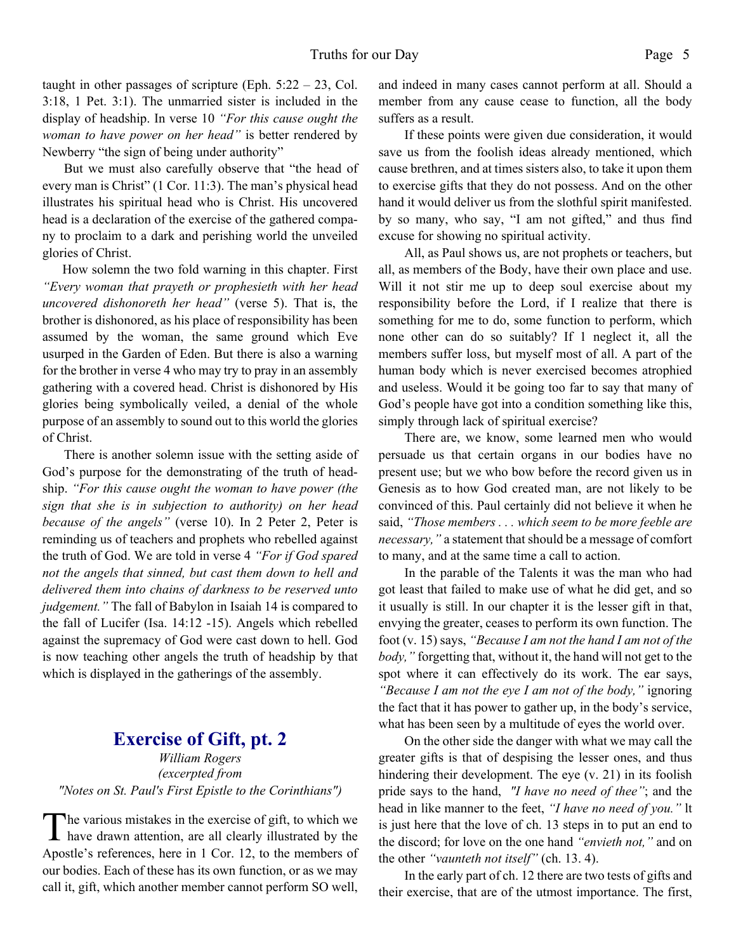taught in other passages of scripture (Eph.  $5:22 - 23$ , Col. 3:18, 1 Pet. 3:1). The unmarried sister is included in the display of headship. In verse 10 *"For this cause ought the woman to have power on her head"* is better rendered by Newberry "the sign of being under authority"

 But we must also carefully observe that "the head of every man is Christ" (1 Cor. 11:3). The man's physical head illustrates his spiritual head who is Christ. His uncovered head is a declaration of the exercise of the gathered company to proclaim to a dark and perishing world the unveiled glories of Christ.

How solemn the two fold warning in this chapter. First *"Every woman that prayeth or prophesieth with her head uncovered dishonoreth her head"* (verse 5). That is, the brother is dishonored, as his place of responsibility has been assumed by the woman, the same ground which Eve usurped in the Garden of Eden. But there is also a warning for the brother in verse 4 who may try to pray in an assembly gathering with a covered head. Christ is dishonored by His glories being symbolically veiled, a denial of the whole purpose of an assembly to sound out to this world the glories of Christ.

There is another solemn issue with the setting aside of God's purpose for the demonstrating of the truth of headship. *"For this cause ought the woman to have power (the sign that she is in subjection to authority) on her head because of the angels"* (verse 10). In 2 Peter 2, Peter is reminding us of teachers and prophets who rebelled against the truth of God. We are told in verse 4 *"For if God spared not the angels that sinned, but cast them down to hell and delivered them into chains of darkness to be reserved unto judgement."* The fall of Babylon in Isaiah 14 is compared to the fall of Lucifer (Isa. 14:12 -15). Angels which rebelled against the supremacy of God were cast down to hell. God is now teaching other angels the truth of headship by that which is displayed in the gatherings of the assembly.

# **Exercise of Gift, pt. 2**

*William Rogers (excerpted from "Notes on St. Paul's First Epistle to the Corinthians")*

The various mistakes in the exercise of gift, to which we have drawn attention, are all clearly illustrated by the he various mistakes in the exercise of gift, to which we Apostle's references, here in 1 Cor. 12, to the members of our bodies. Each of these has its own function, or as we may call it, gift, which another member cannot perform SO well, and indeed in many cases cannot perform at all. Should a member from any cause cease to function, all the body suffers as a result.

 If these points were given due consideration, it would save us from the foolish ideas already mentioned, which cause brethren, and at times sisters also, to take it upon them to exercise gifts that they do not possess. And on the other hand it would deliver us from the slothful spirit manifested. by so many, who say, "I am not gifted," and thus find excuse for showing no spiritual activity.

 All, as Paul shows us, are not prophets or teachers, but all, as members of the Body, have their own place and use. Will it not stir me up to deep soul exercise about my responsibility before the Lord, if I realize that there is something for me to do, some function to perform, which none other can do so suitably? If 1 neglect it, all the members suffer loss, but myself most of all. A part of the human body which is never exercised becomes atrophied and useless. Would it be going too far to say that many of God's people have got into a condition something like this, simply through lack of spiritual exercise?

 There are, we know, some learned men who would persuade us that certain organs in our bodies have no present use; but we who bow before the record given us in Genesis as to how God created man, are not likely to be convinced of this. Paul certainly did not believe it when he said, *"Those members . . . which seem to be more feeble are necessary,"* a statement that should be a message of comfort to many, and at the same time a call to action.

 In the parable of the Talents it was the man who had got least that failed to make use of what he did get, and so it usually is still. In our chapter it is the lesser gift in that, envying the greater, ceases to perform its own function. The foot (v. 15) says, *"Because I am not the hand I am not of the body,"* forgetting that, without it, the hand will not get to the spot where it can effectively do its work. The ear says, *"Because I am not the eye I am not of the body,"* ignoring the fact that it has power to gather up, in the body's service, what has been seen by a multitude of eyes the world over.

 On the other side the danger with what we may call the greater gifts is that of despising the lesser ones, and thus hindering their development. The eye (v. 21) in its foolish pride says to the hand, *"I have no need of thee"*; and the head in like manner to the feet, *"I have no need of you."* lt is just here that the love of ch. 13 steps in to put an end to the discord; for love on the one hand *"envieth not,"* and on the other *"vaunteth not itself"* (ch. 13. 4).

 In the early part of ch. 12 there are two tests of gifts and their exercise, that are of the utmost importance. The first,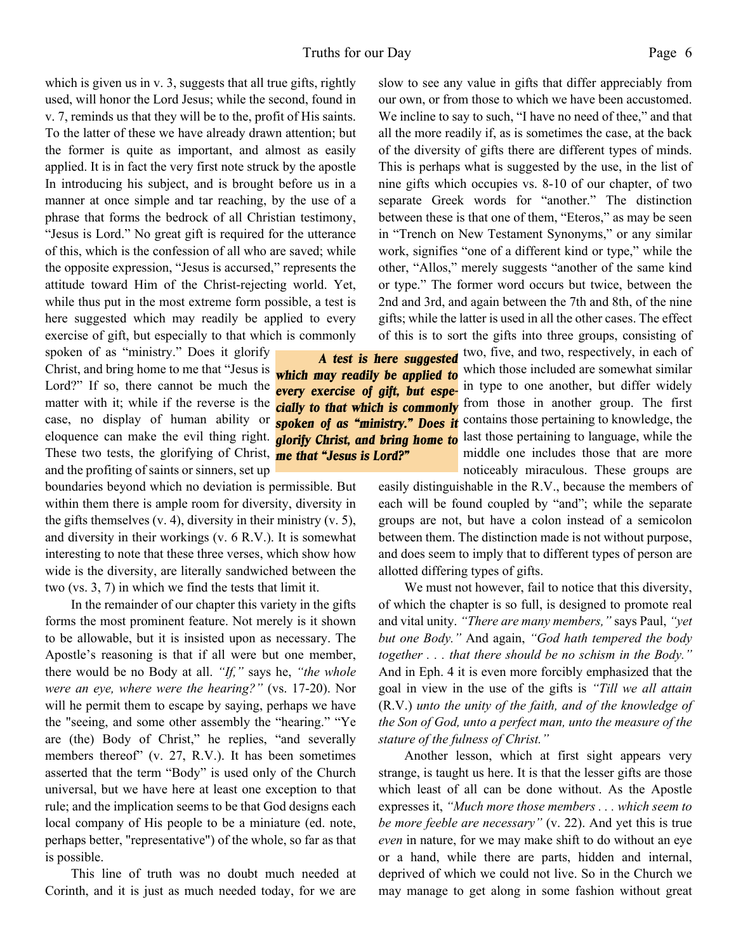which is given us in v. 3, suggests that all true gifts, rightly used, will honor the Lord Jesus; while the second, found in v. 7, reminds us that they will be to the, profit of His saints. To the latter of these we have already drawn attention; but the former is quite as important, and almost as easily applied. It is in fact the very first note struck by the apostle In introducing his subject, and is brought before us in a manner at once simple and tar reaching, by the use of a phrase that forms the bedrock of all Christian testimony, "Jesus is Lord." No great gift is required for the utterance of this, which is the confession of all who are saved; while the opposite expression, "Jesus is accursed," represents the attitude toward Him of the Christ-rejecting world. Yet, while thus put in the most extreme form possible, a test is here suggested which may readily be applied to every exercise of gift, but especially to that which is commonly

spoken of as "ministry." Does it glorify Christ, and bring home to me that "Jesus is Lord?" If so, there cannot be much the matter with it; while if the reverse is the case, no display of human ability or eloquence can make the evil thing right. These two tests, the glorifying of Christ, *me that "Jesus is Lord?"*and the profiting of saints or sinners, set up

boundaries beyond which no deviation is permissible. But within them there is ample room for diversity, diversity in the gifts themselves (v. 4), diversity in their ministry (v. 5), and diversity in their workings (v. 6 R.V.). It is somewhat interesting to note that these three verses, which show how wide is the diversity, are literally sandwiched between the two (vs. 3, 7) in which we find the tests that limit it.

 In the remainder of our chapter this variety in the gifts forms the most prominent feature. Not merely is it shown to be allowable, but it is insisted upon as necessary. The Apostle's reasoning is that if all were but one member, there would be no Body at all. *"If,"* says he, *"the whole were an eye, where were the hearing?"* (vs. 17-20). Nor will he permit them to escape by saying, perhaps we have the "seeing, and some other assembly the "hearing." "Ye are (the) Body of Christ," he replies, "and severally members thereof" (v. 27, R.V.). It has been sometimes asserted that the term "Body" is used only of the Church universal, but we have here at least one exception to that rule; and the implication seems to be that God designs each local company of His people to be a miniature (ed. note, perhaps better, "representative") of the whole, so far as that is possible.

 This line of truth was no doubt much needed at Corinth, and it is just as much needed today, for we are slow to see any value in gifts that differ appreciably from our own, or from those to which we have been accustomed. We incline to say to such, "I have no need of thee," and that all the more readily if, as is sometimes the case, at the back of the diversity of gifts there are different types of minds. This is perhaps what is suggested by the use, in the list of nine gifts which occupies vs. 8-10 of our chapter, of two separate Greek words for "another." The distinction between these is that one of them, "Eteros," as may be seen in "Trench on New Testament Synonyms," or any similar work, signifies "one of a different kind or type," while the other, "Allos," merely suggests "another of the same kind or type." The former word occurs but twice, between the 2nd and 3rd, and again between the 7th and 8th, of the nine gifts; while the latter is used in all the other cases. The effect of this is to sort the gifts into three groups, consisting of

A **test is here suggested** two, five, and two, respectively, in each of which those included are somewhat similar **every exercise of gift, but espe-** in type to one another, but differ widely *cially to that which is commonly* from those in another group. The first **spoken of as "ministry." Does it** contains those pertaining to knowledge, the **glorify Christ, and bring home to** last those pertaining to language, while the middle one includes those that are more noticeably miraculous. These groups are

> easily distinguishable in the R.V., because the members of each will be found coupled by "and"; while the separate groups are not, but have a colon instead of a semicolon between them. The distinction made is not without purpose, and does seem to imply that to different types of person are allotted differing types of gifts.

> We must not however, fail to notice that this diversity, of which the chapter is so full, is designed to promote real and vital unity. *"There are many members,"* says Paul, *"yet but one Body."* And again, *"God hath tempered the body together . . . that there should be no schism in the Body."* And in Eph. 4 it is even more forcibly emphasized that the goal in view in the use of the gifts is *"Till we all attain* (R.V.) *unto the unity of the faith, and of the knowledge of the Son of God, unto a perfect man, unto the measure of the stature of the fulness of Christ."*

> Another lesson, which at first sight appears very strange, is taught us here. It is that the lesser gifts are those which least of all can be done without. As the Apostle expresses it, *"Much more those members . . . which seem to be more feeble are necessary"* (v. 22). And yet this is true *even* in nature, for we may make shift to do without an eye or a hand, while there are parts, hidden and internal, deprived of which we could not live. So in the Church we may manage to get along in some fashion without great

*which may readily be applied to*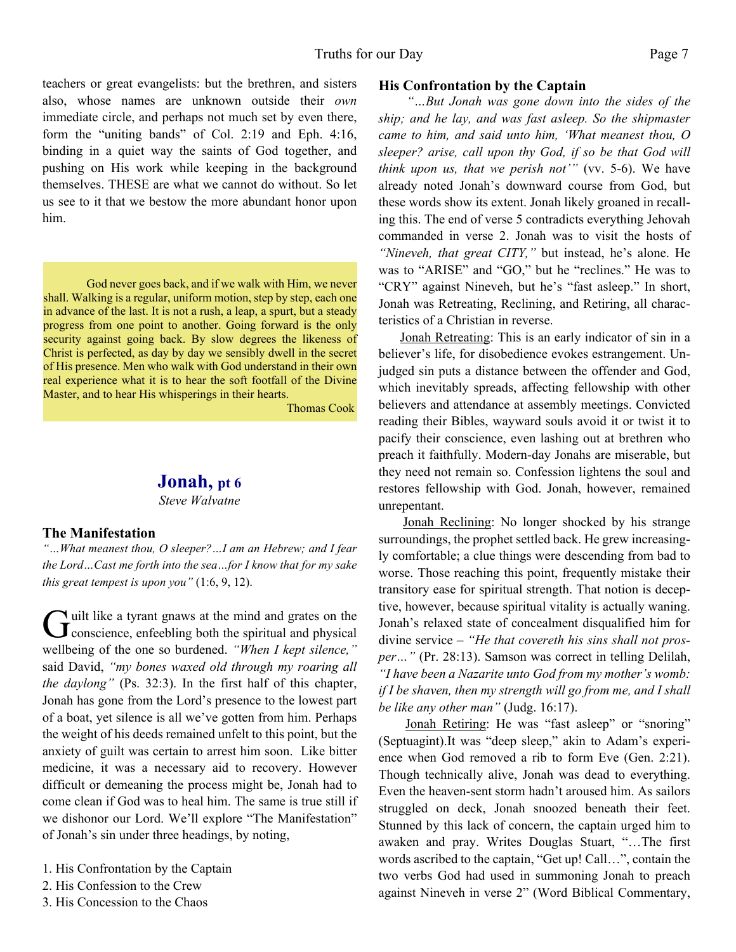teachers or great evangelists: but the brethren, and sisters also, whose names are unknown outside their *own* immediate circle, and perhaps not much set by even there, form the "uniting bands" of Col. 2:19 and Eph. 4:16, binding in a quiet way the saints of God together, and pushing on His work while keeping in the background themselves. THESE are what we cannot do without. So let us see to it that we bestow the more abundant honor upon him.

God never goes back, and if we walk with Him, we never shall. Walking is a regular, uniform motion, step by step, each one in advance of the last. It is not a rush, a leap, a spurt, but a steady progress from one point to another. Going forward is the only security against going back. By slow degrees the likeness of Christ is perfected, as day by day we sensibly dwell in the secret of His presence. Men who walk with God understand in their own real experience what it is to hear the soft footfall of the Divine Master, and to hear His whisperings in their hearts.

Thomas Cook

# **Jonah, pt 6**

*Steve Walvatne*

#### **The Manifestation**

*"…What meanest thou, O sleeper?…I am an Hebrew; and I fear the Lord…Cast me forth into the sea…for I know that for my sake this great tempest is upon you"* (1:6, 9, 12).

Guilt like a tyrant gnaws at the mind and grates on the conscience, enfeebling both the spiritual and physical If uilt like a tyrant gnaws at the mind and grates on the wellbeing of the one so burdened. *"When I kept silence,"* said David, *"my bones waxed old through my roaring all the daylong"* (Ps. 32:3). In the first half of this chapter, Jonah has gone from the Lord's presence to the lowest part of a boat, yet silence is all we've gotten from him. Perhaps the weight of his deeds remained unfelt to this point, but the anxiety of guilt was certain to arrest him soon. Like bitter medicine, it was a necessary aid to recovery. However difficult or demeaning the process might be, Jonah had to come clean if God was to heal him. The same is true still if we dishonor our Lord. We'll explore "The Manifestation" of Jonah's sin under three headings, by noting,

- 1. His Confrontation by the Captain
- 2. His Confession to the Crew
- 3. His Concession to the Chaos

#### **His Confrontation by the Captain**

*"…But Jonah was gone down into the sides of the ship; and he lay, and was fast asleep. So the shipmaster came to him, and said unto him, 'What meanest thou, O sleeper? arise, call upon thy God, if so be that God will think upon us, that we perish not'"* (vv. 5-6). We have already noted Jonah's downward course from God, but these words show its extent. Jonah likely groaned in recalling this. The end of verse 5 contradicts everything Jehovah commanded in verse 2. Jonah was to visit the hosts of *"Nineveh, that great CITY,"* but instead, he's alone. He was to "ARISE" and "GO," but he "reclines." He was to "CRY" against Nineveh, but he's "fast asleep." In short, Jonah was Retreating, Reclining, and Retiring, all characteristics of a Christian in reverse.

Jonah Retreating: This is an early indicator of sin in a believer's life, for disobedience evokes estrangement. Unjudged sin puts a distance between the offender and God, which inevitably spreads, affecting fellowship with other believers and attendance at assembly meetings. Convicted reading their Bibles, wayward souls avoid it or twist it to pacify their conscience, even lashing out at brethren who preach it faithfully. Modern-day Jonahs are miserable, but they need not remain so. Confession lightens the soul and restores fellowship with God. Jonah, however, remained unrepentant.

Jonah Reclining: No longer shocked by his strange surroundings, the prophet settled back. He grew increasingly comfortable; a clue things were descending from bad to worse. Those reaching this point, frequently mistake their transitory ease for spiritual strength. That notion is deceptive, however, because spiritual vitality is actually waning. Jonah's relaxed state of concealment disqualified him for divine service – *"He that covereth his sins shall not prosper…"* (Pr. 28:13). Samson was correct in telling Delilah, *"I have been a Nazarite unto God from my mother's womb: if I be shaven, then my strength will go from me, and I shall be like any other man"* (Judg. 16:17).

Jonah Retiring: He was "fast asleep" or "snoring" (Septuagint).It was "deep sleep," akin to Adam's experience when God removed a rib to form Eve (Gen. 2:21). Though technically alive, Jonah was dead to everything. Even the heaven-sent storm hadn't aroused him. As sailors struggled on deck, Jonah snoozed beneath their feet. Stunned by this lack of concern, the captain urged him to awaken and pray. Writes Douglas Stuart, "…The first words ascribed to the captain, "Get up! Call…", contain the two verbs God had used in summoning Jonah to preach against Nineveh in verse 2" (Word Biblical Commentary,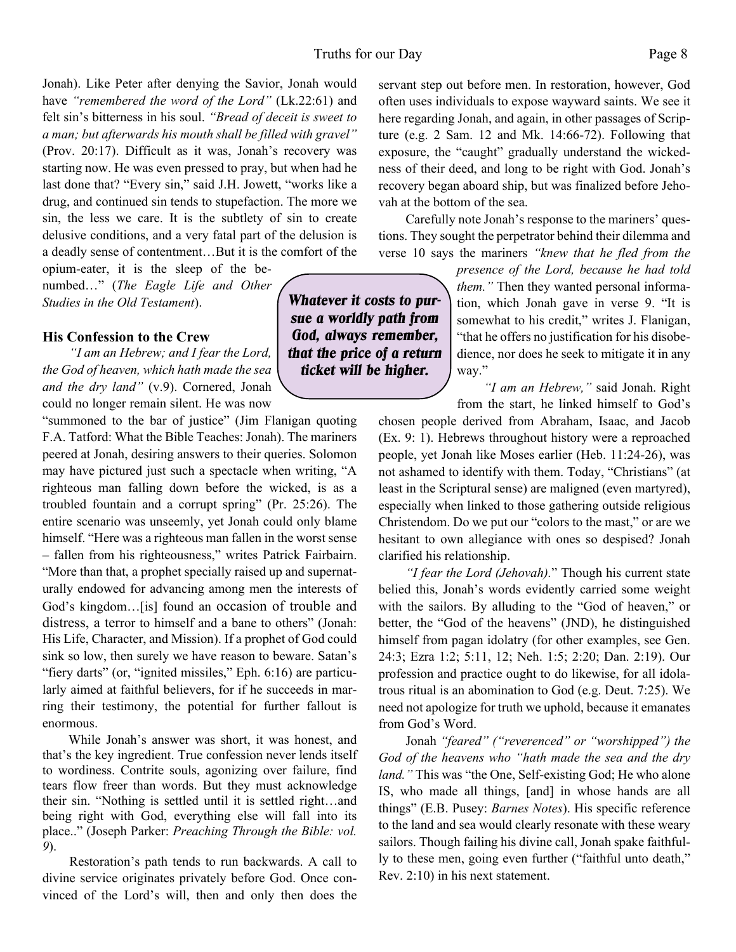#### Truths for our Day Page 8

Jonah). Like Peter after denying the Savior, Jonah would have *"remembered the word of the Lord"* (Lk.22:61) and felt sin's bitterness in his soul. *"Bread of deceit is sweet to a man; but afterwards his mouth shall be filled with gravel"* (Prov. 20:17). Difficult as it was, Jonah's recovery was starting now. He was even pressed to pray, but when had he last done that? "Every sin," said J.H. Jowett, "works like a drug, and continued sin tends to stupefaction. The more we sin, the less we care. It is the subtlety of sin to create delusive conditions, and a very fatal part of the delusion is a deadly sense of contentment…But it is the comfort of the

opium-eater, it is the sleep of the benumbed…" (*The Eagle Life and Other Studies in the Old Testament*).

#### **His Confession to the Crew**

*"I am an Hebrew; and I fear the Lord, the God of heaven, which hath made the sea and the dry land"* (v.9). Cornered, Jonah could no longer remain silent. He was now

"summoned to the bar of justice" (Jim Flanigan quoting F.A. Tatford: What the Bible Teaches: Jonah). The mariners peered at Jonah, desiring answers to their queries. Solomon may have pictured just such a spectacle when writing, "A righteous man falling down before the wicked, is as a troubled fountain and a corrupt spring" (Pr. 25:26). The entire scenario was unseemly, yet Jonah could only blame himself. "Here was a righteous man fallen in the worst sense – fallen from his righteousness," writes Patrick Fairbairn. "More than that, a prophet specially raised up and supernaturally endowed for advancing among men the interests of God's kingdom…[is] found an occasion of trouble and distress, a terror to himself and a bane to others" (Jonah: His Life, Character, and Mission). If a prophet of God could sink so low, then surely we have reason to beware. Satan's "fiery darts" (or, "ignited missiles," Eph. 6:16) are particularly aimed at faithful believers, for if he succeeds in marring their testimony, the potential for further fallout is enormous.

While Jonah's answer was short, it was honest, and that's the key ingredient. True confession never lends itself to wordiness. Contrite souls, agonizing over failure, find tears flow freer than words. But they must acknowledge their sin. "Nothing is settled until it is settled right…and being right with God, everything else will fall into its place.." (Joseph Parker: *Preaching Through the Bible: vol. 9*).

Restoration's path tends to run backwards. A call to divine service originates privately before God. Once convinced of the Lord's will, then and only then does the servant step out before men. In restoration, however, God often uses individuals to expose wayward saints. We see it here regarding Jonah, and again, in other passages of Scripture (e.g. 2 Sam. 12 and Mk. 14:66-72). Following that exposure, the "caught" gradually understand the wickedness of their deed, and long to be right with God. Jonah's recovery began aboard ship, but was finalized before Jehovah at the bottom of the sea.

Carefully note Jonah's response to the mariners' questions. They sought the perpetrator behind their dilemma and verse 10 says the mariners *"knew that he fled from the*

> *presence of the Lord, because he had told them."* Then they wanted personal information, which Jonah gave in verse 9. "It is somewhat to his credit," writes J. Flanigan, "that he offers no justification for his disobedience, nor does he seek to mitigate it in any way."

*"I am an Hebrew,"* said Jonah. Right from the start, he linked himself to God's

chosen people derived from Abraham, Isaac, and Jacob (Ex. 9: 1). Hebrews throughout history were a reproached people, yet Jonah like Moses earlier (Heb. 11:24-26), was not ashamed to identify with them. Today, "Christians" (at least in the Scriptural sense) are maligned (even martyred), especially when linked to those gathering outside religious Christendom. Do we put our "colors to the mast," or are we hesitant to own allegiance with ones so despised? Jonah clarified his relationship.

*"I fear the Lord (Jehovah).*" Though his current state belied this, Jonah's words evidently carried some weight with the sailors. By alluding to the "God of heaven," or better, the "God of the heavens" (JND), he distinguished himself from pagan idolatry (for other examples, see Gen. 24:3; Ezra 1:2; 5:11, 12; Neh. 1:5; 2:20; Dan. 2:19). Our profession and practice ought to do likewise, for all idolatrous ritual is an abomination to God (e.g. Deut. 7:25). We need not apologize for truth we uphold, because it emanates from God's Word.

Jonah *"feared" ("reverenced" or "worshipped") the God of the heavens who "hath made the sea and the dry land.*" This was "the One, Self-existing God; He who alone IS, who made all things, [and] in whose hands are all things" (E.B. Pusey: *Barnes Notes*). His specific reference to the land and sea would clearly resonate with these weary sailors. Though failing his divine call, Jonah spake faithfully to these men, going even further ("faithful unto death," Rev. 2:10) in his next statement.

*Whatever it costs to pursue a worldly path from God, always remember, that the price of a return ticket will be higher.*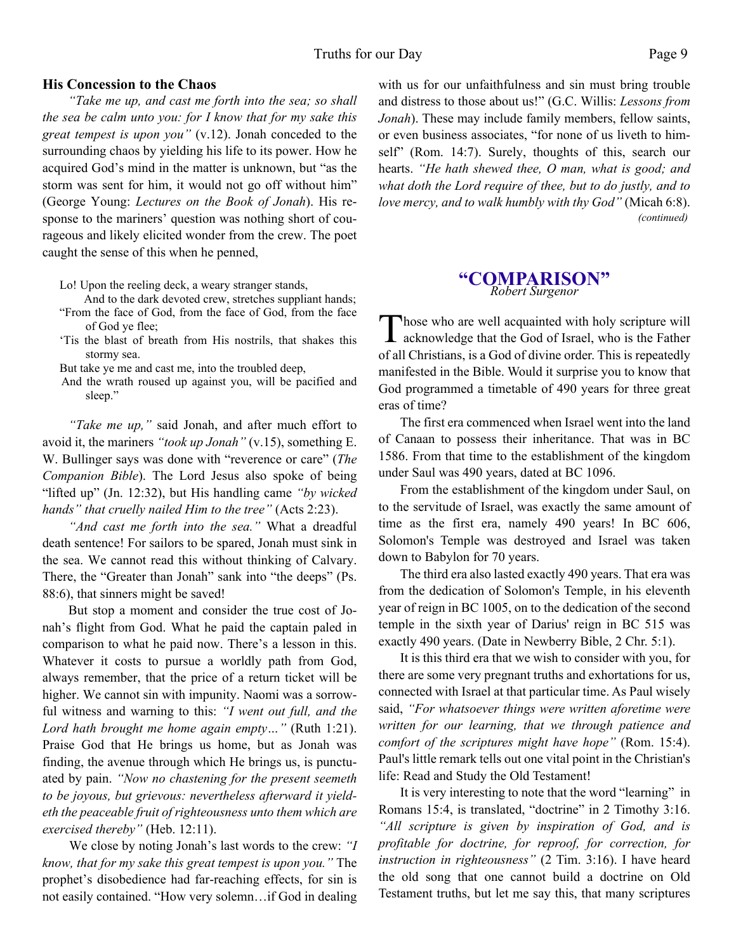#### **His Concession to the Chaos**

*"Take me up, and cast me forth into the sea; so shall the sea be calm unto you: for I know that for my sake this great tempest is upon you"* (v.12). Jonah conceded to the surrounding chaos by yielding his life to its power. How he acquired God's mind in the matter is unknown, but "as the storm was sent for him, it would not go off without him" (George Young: *Lectures on the Book of Jonah*). His response to the mariners' question was nothing short of courageous and likely elicited wonder from the crew. The poet caught the sense of this when he penned,

Lo! Upon the reeling deck, a weary stranger stands,

- And to the dark devoted crew, stretches suppliant hands; "From the face of God, from the face of God, from the face of God ye flee;
- 'Tis the blast of breath from His nostrils, that shakes this stormy sea.

But take ye me and cast me, into the troubled deep,

And the wrath roused up against you, will be pacified and sleep."

*"Take me up,"* said Jonah, and after much effort to avoid it, the mariners *"took up Jonah"* (v.15), something E. W. Bullinger says was done with "reverence or care" (*The Companion Bible*). The Lord Jesus also spoke of being "lifted up" (Jn. 12:32), but His handling came *"by wicked hands" that cruelly nailed Him to the tree"* (Acts 2:23).

*"And cast me forth into the sea."* What a dreadful death sentence! For sailors to be spared, Jonah must sink in the sea. We cannot read this without thinking of Calvary. There, the "Greater than Jonah" sank into "the deeps" (Ps. 88:6), that sinners might be saved!

But stop a moment and consider the true cost of Jonah's flight from God. What he paid the captain paled in comparison to what he paid now. There's a lesson in this. Whatever it costs to pursue a worldly path from God, always remember, that the price of a return ticket will be higher. We cannot sin with impunity. Naomi was a sorrowful witness and warning to this: *"I went out full, and the Lord hath brought me home again empty…"* (Ruth 1:21). Praise God that He brings us home, but as Jonah was finding, the avenue through which He brings us, is punctuated by pain. *"Now no chastening for the present seemeth to be joyous, but grievous: nevertheless afterward it yieldeth the peaceable fruit of righteousness unto them which are exercised thereby"* (Heb. 12:11).

We close by noting Jonah's last words to the crew: *"I know, that for my sake this great tempest is upon you."* The prophet's disobedience had far-reaching effects, for sin is not easily contained. "How very solemn…if God in dealing

with us for our unfaithfulness and sin must bring trouble and distress to those about us!" (G.C. Willis: *Lessons from Jonah*). These may include family members, fellow saints, or even business associates, "for none of us liveth to himself" (Rom. 14:7). Surely, thoughts of this, search our hearts. *"He hath shewed thee, O man, what is good; and what doth the Lord require of thee, but to do justly, and to love mercy, and to walk humbly with thy God"* (Micah 6:8). *(continued)*

#### **"COMPARISON"** *Robert Surgenor*

Those who are well acquainted with holy scripture will<br>acknowledge that the God of Israel, who is the Father hose who are well acquainted with holy scripture will of all Christians, is a God of divine order. This is repeatedly manifested in the Bible. Would it surprise you to know that God programmed a timetable of 490 years for three great eras of time?

The first era commenced when Israel went into the land of Canaan to possess their inheritance. That was in BC 1586. From that time to the establishment of the kingdom under Saul was 490 years, dated at BC 1096.

From the establishment of the kingdom under Saul, on to the servitude of Israel, was exactly the same amount of time as the first era, namely 490 years! In BC 606, Solomon's Temple was destroyed and Israel was taken down to Babylon for 70 years.

The third era also lasted exactly 490 years. That era was from the dedication of Solomon's Temple, in his eleventh year of reign in BC 1005, on to the dedication of the second temple in the sixth year of Darius' reign in BC 515 was exactly 490 years. (Date in Newberry Bible, 2 Chr. 5:1).

It is this third era that we wish to consider with you, for there are some very pregnant truths and exhortations for us, connected with Israel at that particular time. As Paul wisely said, *"For whatsoever things were written aforetime were written for our learning, that we through patience and comfort of the scriptures might have hope"* (Rom. 15:4). Paul's little remark tells out one vital point in the Christian's life: Read and Study the Old Testament!

It is very interesting to note that the word "learning" in Romans 15:4, is translated, "doctrine" in 2 Timothy 3:16. *"All scripture is given by inspiration of God, and is profitable for doctrine, for reproof, for correction, for instruction in righteousness"* (2 Tim. 3:16). I have heard the old song that one cannot build a doctrine on Old Testament truths, but let me say this, that many scriptures